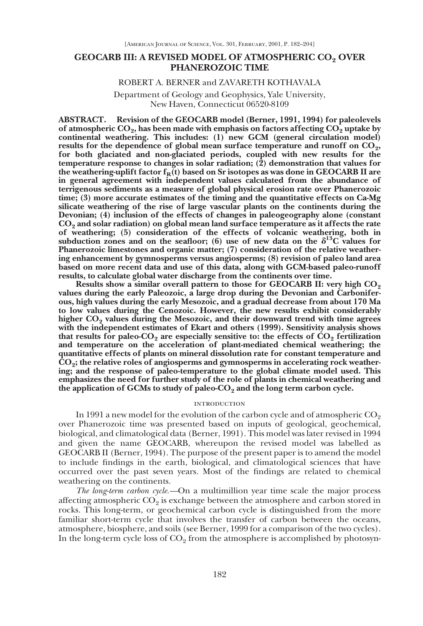# **GEOCARB III: A REVISED MODEL OF ATMOSPHERIC CO2 OVER PHANEROZOIC TIME**

## ROBERT A. BERNER and ZAVARETH KOTHAVALA

# Department of Geology and Geophysics, Yale University, New Haven, Connecticut 06520-8109

**ABSTRACT. Revision of the GEOCARB model (Berner, 1991, 1994) for paleolevels** of atmospheric  $CO_2$ , has been made with emphasis on factors affecting  $CO_2$  uptake by **continental weathering. This includes: (1) new GCM (general circulation model)** results for the dependence of global mean surface temperature and runoff on  $CO<sub>2</sub>$ , **for both glaciated and non-glaciated periods, coupled with new results for the temperature response to changes in solar radiation; (2) demonstration that values for** the weathering-uplift factor  $f_R(t)$  based on Sr isotopes as was done in GEOCARB II are **in general agreement with independent values calculated from the abundance of terrigenous sediments as a measure of global physical erosion rate over Phanerozoic time; (3) more accurate estimates of the timing and the quantitative effects on Ca-Mg silicate weathering of the rise of large vascular plants on the continents during the Devonian; (4) inclusion of the effects of changes in paleogeography alone (constant CO2 and solar radiation) on global mean land surface temperature as it affects the rate of weathering; (5) consideration of the effects of volcanic weathering, both in** subduction zones and on the seafloor; (6) use of new data on the  $\delta^{13}C$  values for **Phanerozoic limestones and organic matter; (7) consideration of the relative weathering enhancement by gymnosperms versus angiosperms; (8) revision of paleo land area based on more recent data and use of this data, along with GCM-based paleo-runoff results, to calculate global water discharge from the continents over time.**

**Results show a similar overall pattern to those for GEOCARB II: very high CO<sub>2</sub> values during the early Paleozoic, a large drop during the Devonian and Carboniferous, high values during the early Mesozoic, and a gradual decrease from about 170 Ma to low values during the Cenozoic. However, the new results exhibit considerably higher CO2 values during the Mesozoic, and their downward trend with time agrees with the independent estimates of Ekart and others (1999). Sensitivity analysis shows** that results for paleo- $CO_2$  are especially sensitive to: the effects of  $CO_2$  fertilization **and temperature on the acceleration of plant-mediated chemical weathering; the quantitative effects of plants on mineral dissolution rate for constant temperature and CO2; the relative roles of angiosperms and gymnosperms in accelerating rock weathering; and the response of paleo-temperature to the global climate model used. This emphasizes the need for further study of the role of plants in chemical weathering and** the application of GCMs to study of paleo-CO<sub>2</sub> and the long term carbon cycle.

### **INTRODUCTION**

In 1991 a new model for the evolution of the carbon cycle and of atmospheric  $CO<sub>2</sub>$ over Phanerozoic time was presented based on inputs of geological, geochemical, biological, and climatological data (Berner, 1991). This model was later revised in 1994 and given the name GEOCARB, whereupon the revised model was labelled as GEOCARB II (Berner, 1994). The purpose of the present paper is to amend the model to include findings in the earth, biological, and climatological sciences that have occurred over the past seven years. Most of the findings are related to chemical weathering on the continents.

*The long-term carbon cycle.—*On a multimillion year time scale the major process affecting atmospheric  $CO<sub>2</sub>$  is exchange between the atmosphere and carbon stored in rocks. This long-term, or geochemical carbon cycle is distinguished from the more familiar short-term cycle that involves the transfer of carbon between the oceans, atmosphere, biosphere, and soils (see Berner, 1999 for a comparison of the two cycles). In the long-term cycle loss of  $CO<sub>9</sub>$  from the atmosphere is accomplished by photosyn-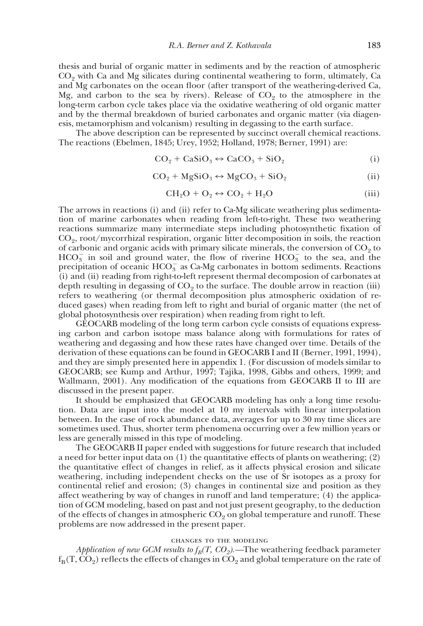thesis and burial of organic matter in sediments and by the reaction of atmospheric  $CO<sub>2</sub>$  with Ca and Mg silicates during continental weathering to form, ultimately, Ca and Mg carbonates on the ocean floor (after transport of the weathering-derived Ca, Mg, and carbon to the sea by rivers). Release of  $CO<sub>2</sub>$  to the atmosphere in the long-term carbon cycle takes place via the oxidative weathering of old organic matter and by the thermal breakdown of buried carbonates and organic matter (via diagenesis, metamorphism and volcanism) resulting in degassing to the earth surface.

The above description can be represented by succinct overall chemical reactions. The reactions (Ebelmen, 1845; Urey, 1952; Holland, 1978; Berner, 1991) are:

$$
CO_2 + CaSiO_3 \leftrightarrow CaCO_3 + SiO_2 \tag{i}
$$

$$
CO_2 + MgSiO_3 \leftrightarrow MgCO_3 + SiO_2 \tag{ii}
$$

$$
CH_2O + O_2 \leftrightarrow CO_2 + H_2O \tag{iii}
$$

The arrows in reactions (i) and (ii) refer to Ca-Mg silicate weathering plus sedimentation of marine carbonates when reading from left-to-right. These two weathering reactions summarize many intermediate steps including photosynthetic fixation of  $CO<sub>9</sub>$ , root/mycorrhizal respiration, organic litter decomposition in soils, the reaction of carbonic and organic acids with primary silicate minerals, the conversion of  $CO<sub>9</sub>$  to  $HCO_3^-$  in soil and ground water, the flow of riverine  $HCO_3^-$  to the sea, and the precipitation of oceanic  $HCO_3^-$  as Ca-Mg carbonates in bottom sediments. Reactions (i) and (ii) reading from right-to-left represent thermal decomposion of carbonates at depth resulting in degassing of  $CO<sub>2</sub>$  to the surface. The double arrow in reaction (iii) refers to weathering (or thermal decomposition plus atmospheric oxidation of reduced gases) when reading from left to right and burial of organic matter (the net of global photosynthesis over respiration) when reading from right to left.

GEOCARB modeling of the long term carbon cycle consists of equations expressing carbon and carbon isotope mass balance along with formulations for rates of weathering and degassing and how these rates have changed over time. Details of the derivation of these equations can be found in GEOCARB I and II (Berner, 1991, 1994), and they are simply presented here in appendix 1. (For discussion of models similar to GEOCARB; see Kump and Arthur, 1997; Tajika, 1998, Gibbs and others, 1999; and Wallmann, 2001). Any modification of the equations from GEOCARB II to III are discussed in the present paper.

It should be emphasized that GEOCARB modeling has only a long time resolution. Data are input into the model at 10 my intervals with linear interpolation between. In the case of rock abundance data, averages for up to 30 my time slices are sometimes used. Thus, shorter term phenomena occurring over a few million years or less are generally missed in this type of modeling.

The GEOCARB II paper ended with suggestions for future research that included a need for better input data on  $(1)$  the quantitative effects of plants on weathering;  $(2)$ the quantitative effect of changes in relief, as it affects physical erosion and silicate weathering, including independent checks on the use of Sr isotopes as a proxy for continental relief and erosion; (3) changes in continental size and position as they affect weathering by way of changes in runoff and land temperature; (4) the application of GCM modeling, based on past and not just present geography, to the deduction of the effects of changes in atmospheric  $CO<sub>2</sub>$  on global temperature and runoff. These problems are now addressed in the present paper.

### changes to the modeling

*Application of new GCM results to*  $f_B(T, CO_2)$ *.*—The weathering feedback parameter  $f_{\rm B}(T, CO_2)$  reflects the effects of changes in  $CO_2$  and global temperature on the rate of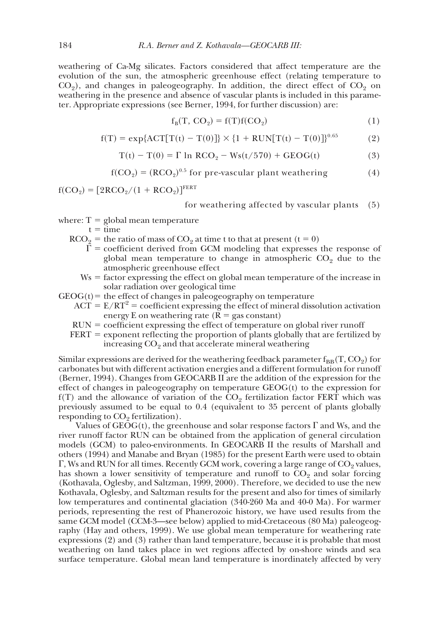weathering of Ca-Mg silicates. Factors considered that affect temperature are the evolution of the sun, the atmospheric greenhouse effect (relating temperature to  $CO<sub>2</sub>$ ), and changes in paleogeography. In addition, the direct effect of  $CO<sub>2</sub>$  on weathering in the presence and absence of vascular plants is included in this parameter. Appropriate expressions (see Berner, 1994, for further discussion) are:

$$
f_B(T, CO_2) = f(T)f(CO_2)
$$
 (1)

$$
f(T) = \exp\{ACT[T(t) - T(0)]\} \times \{1 + RUN[T(t) - T(0)]\}^{0.65}
$$
 (2)

$$
T(t) - T(0) = \Gamma \ln RCO_2 - Ws(t/570) + GEOG(t)
$$
\n(3)

$$
f(CO2) = (RCO2)0.5 for pre-vascular plant weathering (4)
$$

 $f(CO_2) = [2RCO_2/(1 + RCO_2)]^{FERT}$ 

for weathering affected by vascular plants (5)

where:  $T =$  global mean temperature

 $t = time$ 

- $RCO<sub>2</sub>$  = the ratio of mass of  $CO<sub>2</sub>$  at time t to that at present (t = 0)
	- $\Gamma$  = coefficient derived from GCM modeling that expresses the response of global mean temperature to change in atmospheric  $CO<sub>2</sub>$  due to the atmospheric greenhouse effect
	- $Ws =$  factor expressing the effect on global mean temperature of the increase in solar radiation over geological time
- $GEOG(t)$  = the effect of changes in paleogeography on temperature
	- $ACT = E/RT<sup>2</sup> = coefficient expressing the effect of mineral dissolution activation$ energy E on weathering rate  $(R = gas constant)$
	- $RUN = coefficient$  expressing the effect of temperature on global river runoff

 $FERT = exponent reflecting the proportion of plants globally that are fertilized by$ increasing CO<sub>2</sub> and that accelerate mineral weathering

Similar expressions are derived for the weathering feedback parameter  $f_{\text{BB}}(T, CO_2)$  for carbonates but with different activation energies and a different formulation for runoff (Berner, 1994). Changes from GEOCARB II are the addition of the expression for the effect of changes in paleogeography on temperature GEOG(t) to the expression for  $f(T)$  and the allowance of variation of the  $CO<sub>2</sub>$  fertilization factor FERT which was previously assumed to be equal to 0.4 (equivalent to 35 percent of plants globally responding to  $CO<sub>2</sub>$  fertilization).

Values of  $GEOG(t)$ , the greenhouse and solar response factors  $\Gamma$  and Ws, and the river runoff factor RUN can be obtained from the application of general circulation models (GCM) to paleo-environments. In GEOCARB II the results of Marshall and others (1994) and Manabe and Bryan (1985) for the present Earth were used to obtain  $\Gamma$ , Ws and RUN for all times. Recently GCM work, covering a large range of  $CO<sub>2</sub>$  values, has shown a lower sensitivity of temperature and runoff to  $CO<sub>2</sub>$  and solar forcing (Kothavala, Oglesby, and Saltzman, 1999, 2000). Therefore, we decided to use the new Kothavala, Oglesby, and Saltzman results for the present and also for times of similarly low temperatures and continental glaciation (340-260 Ma and 40-0 Ma). For warmer periods, representing the rest of Phanerozoic history, we have used results from the same GCM model (CCM-3—see below) applied to mid-Cretaceous (80 Ma) paleogeography (Hay and others, 1999). We use global mean temperature for weathering rate expressions (2) and (3) rather than land temperature, because it is probable that most weathering on land takes place in wet regions affected by on-shore winds and sea surface temperature. Global mean land temperature is inordinately affected by very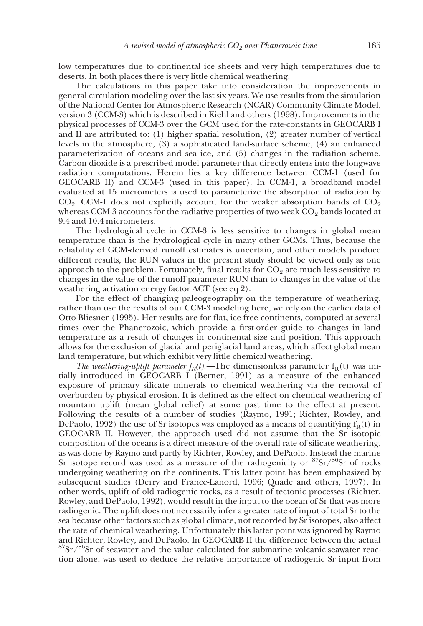low temperatures due to continental ice sheets and very high temperatures due to deserts. In both places there is very little chemical weathering.

The calculations in this paper take into consideration the improvements in general circulation modeling over the last six years. We use results from the simulation of the National Center for Atmospheric Research (NCAR) Community Climate Model, version 3 (CCM-3) which is described in Kiehl and others (1998). Improvements in the physical processes of CCM-3 over the GCM used for the rate-constants in GEOCARB I and II are attributed to: (1) higher spatial resolution, (2) greater number of vertical levels in the atmosphere, (3) a sophisticated land-surface scheme, (4) an enhanced parameterization of oceans and sea ice, and (5) changes in the radiation scheme. Carbon dioxide is a prescribed model parameter that directly enters into the longwave radiation computations. Herein lies a key difference between CCM-1 (used for GEOCARB II) and CCM-3 (used in this paper). In CCM-1, a broadband model evaluated at 15 micrometers is used to parameterize the absorption of radiation by  $CO<sub>2</sub>$ . CCM-1 does not explicitly account for the weaker absorption bands of  $CO<sub>2</sub>$ whereas CCM-3 accounts for the radiative properties of two weak  $CO<sub>2</sub>$  bands located at 9.4 and 10.4 micrometers.

The hydrological cycle in CCM-3 is less sensitive to changes in global mean temperature than is the hydrological cycle in many other GCMs. Thus, because the reliability of GCM-derived runoff estimates is uncertain, and other models produce different results, the RUN values in the present study should be viewed only as one approach to the problem. Fortunately, final results for  $CO<sub>2</sub>$  are much less sensitive to changes in the value of the runoff parameter RUN than to changes in the value of the weathering activation energy factor ACT (see eq 2).

For the effect of changing paleogeography on the temperature of weathering, rather than use the results of our CCM-3 modeling here, we rely on the earlier data of Otto-Bliesner (1995). Her results are for flat, ice-free continents, computed at several times over the Phanerozoic, which provide a first-order guide to changes in land temperature as a result of changes in continental size and position. This approach allows for the exclusion of glacial and periglacial land areas, which affect global mean land temperature, but which exhibit very little chemical weathering.

*The weathering-uplift parameter*  $f_R(t)$ *.*—The dimensionless parameter  $f_R(t)$  was initially introduced in GEOCARB I (Berner, 1991) as a measure of the enhanced exposure of primary silicate minerals to chemical weathering via the removal of overburden by physical erosion. It is defined as the effect on chemical weathering of mountain uplift (mean global relief) at some past time to the effect at present. Following the results of a number of studies (Raymo, 1991; Richter, Rowley, and DePaolo, 1992) the use of Sr isotopes was employed as a means of quantifying  $f_R(t)$  in GEOCARB II. However, the approach used did not assume that the Sr isotopic composition of the oceans is a direct measure of the overall rate of silicate weathering, as was done by Raymo and partly by Richter, Rowley, and DePaolo. Instead the marine Sr isotope record was used as a measure of the radiogenicity or  $87$ Sr $/86$ Sr of rocks undergoing weathering on the continents. This latter point has been emphasized by subsequent studies (Derry and France-Lanord, 1996; Quade and others, 1997). In other words, uplift of old radiogenic rocks, as a result of tectonic processes (Richter, Rowley, and DePaolo, 1992), would result in the input to the ocean of Sr that was more radiogenic. The uplift does not necessarily infer a greater rate of input of total Sr to the sea because other factors such as global climate, not recorded by Sr isotopes, also affect the rate of chemical weathering. Unfortunately this latter point was ignored by Raymo and Richter, Rowley, and DePaolo. In GEOCARB II the difference between the actual  $87$ Sr/ $86$ Sr of seawater and the value calculated for submarine volcanic-seawater reaction alone, was used to deduce the relative importance of radiogenic Sr input from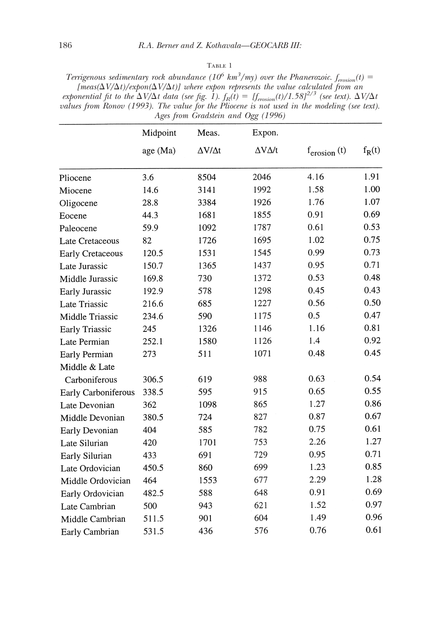## ${\rm Table}$  1

*Terrigenous sedimentary rock abundance* ( $10^6$   $km^3$ /my) over the Phanerozoic.  $f_{\text{erosion}}(t)$  = *[meas(* $\Delta V/\Delta t$ *)/expon(* $\Delta V/\Delta t$ *)] where expon represents the value calculated from an exponential fit to the*  $\Delta V/\Delta t$  *data (see fig. 1).*  $f_R(t) = [f_{\text{erosion}}(t)/1.58]^{2/3}$  (see text).  $\Delta V/\Delta t$ *values from Ronov (1993). The value for the Pliocene is not used in the modeling (see text). Ages from Gradstein and Ogg (1996)*

|                         | Midpoint<br>age (Ma) | Meas.<br>$\Delta V/\Delta t$ | Expon.<br>$\Delta V \Delta/t$ | $f_{\text{erosion}}(t)$ | $f_R(t)$ |
|-------------------------|----------------------|------------------------------|-------------------------------|-------------------------|----------|
|                         |                      |                              |                               |                         |          |
| Pliocene                | 3.6                  | 8504                         | 2046                          | 4.16                    | 1.91     |
| Miocene                 | 14.6                 | 3141                         | 1992                          | 1.58                    | 1.00     |
| Oligocene               | 28.8                 | 3384                         | 1926                          | 1.76                    | 1.07     |
| Eocene                  | 44.3                 | 1681                         | 1855                          | 0.91                    | 0.69     |
| Paleocene               | 59.9                 | 1092                         | 1787                          | 0.61                    | 0.53     |
| Late Cretaceous         | 82                   | 1726                         | 1695                          | 1.02                    | 0.75     |
| <b>Early Cretaceous</b> | 120.5                | 1531                         | 1545                          | 0.99                    | 0.73     |
| Late Jurassic           | 150.7                | 1365                         | 1437                          | 0.95                    | 0.71     |
| Middle Jurassic         | 169.8                | 730                          | 1372                          | 0.53                    | 0.48     |
| Early Jurassic          | 192.9                | 578                          | 1298                          | 0.45                    | 0.43     |
| Late Triassic           | 216.6                | 685                          | 1227                          | 0.56                    | 0.50     |
| Middle Triassic         | 234.6                | 590                          | 1175                          | 0.5                     | 0.47     |
| <b>Early Triassic</b>   | 245                  | 1326                         | 1146                          | 1.16                    | 0.81     |
| Late Permian            | 252.1                | 1580                         | 1126                          | 1.4                     | 0.92     |
| Early Permian           | 273                  | 511                          | 1071                          | 0.48                    | 0.45     |
| Middle & Late           |                      |                              |                               |                         |          |
| Carboniferous           | 306.5                | 619                          | 988                           | 0.63                    | 0.54     |
| Early Carboniferous     | 338.5                | 595                          | 915                           | 0.65                    | 0.55     |
| Late Devonian           | 362                  | 1098                         | 865                           | 1.27                    | 0.86     |
| Middle Devonian         | 380.5                | 724                          | 827                           | 0.87                    | 0.67     |
| Early Devonian          | 404                  | 585                          | 782                           | 0.75                    | 0.61     |
| Late Silurian           | 420                  | 1701                         | 753                           | 2.26                    | 1.27     |
| Early Silurian          | 433                  | 691                          | 729                           | 0.95                    | 0.71     |
| Late Ordovician         | 450.5                | 860                          | 699                           | 1.23                    | 0.85     |
| Middle Ordovician       | 464                  | 1553                         | 677                           | 2.29                    | 1.28     |
| Early Ordovician        | 482.5                | 588                          | 648                           | 0.91                    | 0.69     |
| Late Cambrian           | 500                  | 943                          | 621                           | 1.52                    | 0.97     |
| Middle Cambrian         | 511.5                | 901                          | 604                           | 1.49                    | 0.96     |
| Early Cambrian          | 531.5                | 436                          | 576                           | 0.76                    | 0.61     |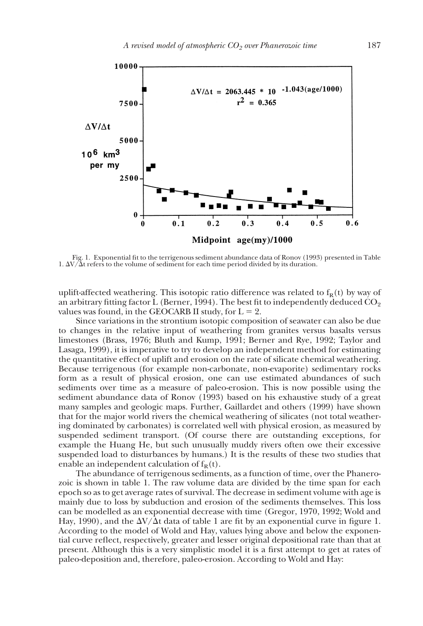

Fig. 1. Exponential fit to the terrigenous sediment abundance data of Ronov (1993) presented in Table 1.  $\Delta V/\Delta t$  refers to the volume of sediment for each time period divided by its duration.

uplift-affected weathering. This isotopic ratio difference was related to  $f_R(t)$  by way of an arbitrary fitting factor L (Berner, 1994). The best fit to independently deduced  $CO_2$ values was found, in the GEOCARB II study, for  $L = 2$ .

Since variations in the strontium isotopic composition of seawater can also be due to changes in the relative input of weathering from granites versus basalts versus limestones (Brass, 1976; Bluth and Kump, 1991; Berner and Rye, 1992; Taylor and Lasaga, 1999), it is imperative to try to develop an independent method for estimating the quantitative effect of uplift and erosion on the rate of silicate chemical weathering. Because terrigenous (for example non-carbonate, non-evaporite) sedimentary rocks form as a result of physical erosion, one can use estimated abundances of such sediments over time as a measure of paleo-erosion. This is now possible using the sediment abundance data of Ronov (1993) based on his exhaustive study of a great many samples and geologic maps. Further, Gaillardet and others (1999) have shown that for the major world rivers the chemical weathering of silicates (not total weathering dominated by carbonates) is correlated well with physical erosion, as measured by suspended sediment transport. (Of course there are outstanding exceptions, for example the Huang He, but such unusually muddy rivers often owe their excessive suspended load to disturbances by humans.) It is the results of these two studies that enable an independent calculation of  $f_R(t)$ .

The abundance of terrigenous sediments, as a function of time, over the Phanerozoic is shown in table 1. The raw volume data are divided by the time span for each epoch so as to get average rates of survival. The decrease in sediment volume with age is mainly due to loss by subduction and erosion of the sediments themselves. This loss can be modelled as an exponential decrease with time (Gregor, 1970, 1992; Wold and Hay, 1990), and the  $\Delta V/\Delta t$  data of table 1 are fit by an exponential curve in figure 1. According to the model of Wold and Hay, values lying above and below the exponential curve reflect, respectively, greater and lesser original depositional rate than that at present. Although this is a very simplistic model it is a first attempt to get at rates of paleo-deposition and, therefore, paleo-erosion. According to Wold and Hay: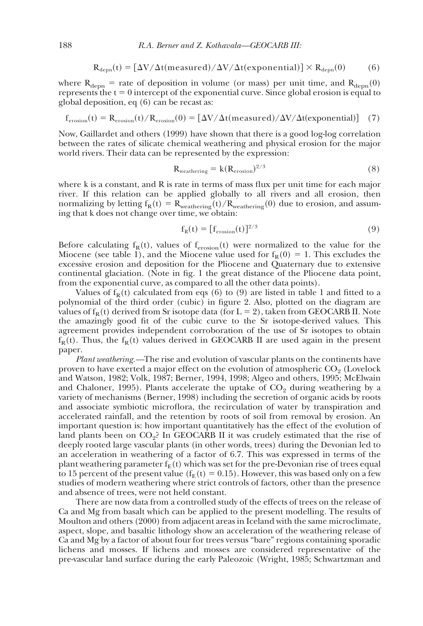$$
R_{\text{depn}}(t) = [\Delta V / \Delta t(\text{measured}) / \Delta V / \Delta t(\text{exponential})] \times R_{\text{depn}}(0) \tag{6}
$$

where  $R_{\text{depn}}$  = rate of deposition in volume (or mass) per unit time, and  $R_{\text{depn}}(0)$ represents the  $t = 0$  intercept of the exponential curve. Since global erosion is equal to global deposition, eq (6) can be recast as:

$$
f_{\rm erosion}(t) = R_{\rm erosion}(t)/R_{\rm erosion}(0) = [\Delta V/\Delta t(\rm measured)/\Delta V/\Delta t(\rm exponential)] \quad (7)
$$

Now, Gaillardet and others (1999) have shown that there is a good log-log correlation between the rates of silicate chemical weathering and physical erosion for the major world rivers. Their data can be represented by the expression:

$$
R_{\text{weathering}} = k(R_{\text{erosion}})^{2/3} \tag{8}
$$

where k is a constant, and R is rate in terms of mass flux per unit time for each major river. If this relation can be applied globally to all rivers and all erosion, then normalizing by letting  $f_R(t) = R_{\text{weathering}}(t)/R_{\text{weathering}}(0)$  due to erosion, and assuming that k does not change over time, we obtain:

$$
f_R(t) = [f_{\text{erosion}}(t)]^{2/3} \tag{9}
$$

Before calculating  $f_R(t)$ , values of  $f_{\text{erosion}}(t)$  were normalized to the value for the Miocene (see table 1), and the Miocene value used for  $f_R(0) = 1$ . This excludes the excessive erosion and deposition for the Pliocene and Quaternary due to extensive continental glaciation. (Note in fig. 1 the great distance of the Pliocene data point, from the exponential curve, as compared to all the other data points).

Values of  $f_R(t)$  calculated from eqs (6) to (9) are listed in table 1 and fitted to a polynomial of the third order (cubic) in figure 2. Also, plotted on the diagram are values of  $f_R(t)$  derived from Sr isotope data (for  $L = 2$ ), taken from GEOCARB II. Note the amazingly good fit of the cubic curve to the Sr isotope-derived values. This agreement provides independent corroboration of the use of Sr isotopes to obtain  $f_R(t)$ . Thus, the  $f_R(t)$  values derived in GEOCARB II are used again in the present paper.

*Plant weathering.—*The rise and evolution of vascular plants on the continents have proven to have exerted a major effect on the evolution of atmospheric  $CO<sub>9</sub>$  (Lovelock and Watson, 1982; Volk, 1987; Berner, 1994, 1998; Algeo and others, 1995; McElwain and Chaloner, 1995). Plants accelerate the uptake of  $CO<sub>9</sub>$  during weathering by a variety of mechanisms (Berner, 1998) including the secretion of organic acids by roots and associate symbiotic microflora, the recirculation of water by transpiration and accelerated rainfall, and the retention by roots of soil from removal by erosion. An important question is: how important quantitatively has the effect of the evolution of land plants been on  $CO_2$ ? In GEOCARB II it was crudely estimated that the rise of deeply rooted large vascular plants (in other words, trees) during the Devonian led to an acceleration in weathering of a factor of 6.7. This was expressed in terms of the plant weathering parameter  $f_E(t)$  which was set for the pre-Devonian rise of trees equal to 15 percent of the present value ( $f_E(t) = 0.15$ ). However, this was based only on a few studies of modern weathering where strict controls of factors, other than the presence and absence of trees, were not held constant.

There are now data from a controlled study of the effects of trees on the release of Ca and Mg from basalt which can be applied to the present modelling. The results of Moulton and others (2000) from adjacent areas in Iceland with the same microclimate, aspect, slope, and basaltic lithology show an acceleration of the weathering release of Ca and Mg by a factor of about four for trees versus "bare" regions containing sporadic lichens and mosses. If lichens and mosses are considered representative of the pre-vascular land surface during the early Paleozoic (Wright, 1985; Schwartzman and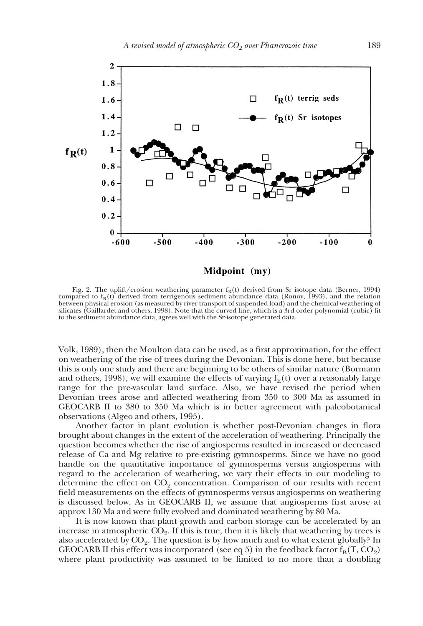

Fig. 2. The uplift/erosion weathering parameter  $f_R(t)$  derived from Sr isotope data (Berner, 1994) compared to  $f_R(t)$  derived from terrigenous sediment abundance data (Ronov, 1993), and the relation between physical erosion (as measured by river transport of suspended load) and the chemical weathering of silicates (Gaillardet and others, 1998). Note that the curved line, which is a 3rd order polynomial (cubic) fit to the sediment abundance data, agrees well with the Sr-isotope generated data.

Volk, 1989), then the Moulton data can be used, as a first approximation, for the effect on weathering of the rise of trees during the Devonian. This is done here, but because this is only one study and there are beginning to be others of similar nature (Bormann and others, 1998), we will examine the effects of varying  $f_E(t)$  over a reasonably large range for the pre-vascular land surface. Also, we have revised the period when Devonian trees arose and affected weathering from 350 to 300 Ma as assumed in GEOCARB II to 380 to 350 Ma which is in better agreement with paleobotanical observations (Algeo and others, 1995).

Another factor in plant evolution is whether post-Devonian changes in flora brought about changes in the extent of the acceleration of weathering. Principally the question becomes whether the rise of angiosperms resulted in increased or decreased release of Ca and Mg relative to pre-existing gymnosperms. Since we have no good handle on the quantitative importance of gymnosperms versus angiosperms with regard to the acceleration of weathering, we vary their effects in our modeling to determine the effect on  $CO<sub>2</sub>$  concentration. Comparison of our results with recent field measurements on the effects of gymnosperms versus angiosperms on weathering is discussed below. As in GEOCARB II, we assume that angiosperms first arose at approx 130 Ma and were fully evolved and dominated weathering by 80 Ma.

It is now known that plant growth and carbon storage can be accelerated by an increase in atmospheric  $CO<sub>2</sub>$ . If this is true, then it is likely that weathering by trees is also accelerated by  $CO<sub>2</sub>$ . The question is by how much and to what extent globally? In GEOCARB II this effect was incorporated (see eq 5) in the feedback factor  $f_B(T, CO_2)$ where plant productivity was assumed to be limited to no more than a doubling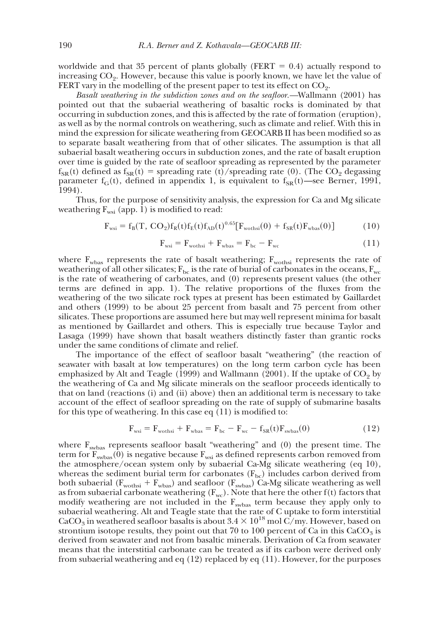worldwide and that 35 percent of plants globally (FERT  $= 0.4$ ) actually respond to increasing  $CO<sub>2</sub>$ . However, because this value is poorly known, we have let the value of FERT vary in the modelling of the present paper to test its effect on  $CO<sub>2</sub>$ .

*Basalt weathering in the subdiction zones and on the seafloor.—*Wallmann (2001) has pointed out that the subaerial weathering of basaltic rocks is dominated by that occurring in subduction zones, and this is affected by the rate of formation (eruption), as well as by the normal controls on weathering, such as climate and relief. With this in mind the expression for silicate weathering from GEOCARB II has been modified so as to separate basalt weathering from that of other silicates. The assumption is that all subaerial basalt weathering occurs in subduction zones, and the rate of basalt eruption over time is guided by the rate of seafloor spreading as represented by the parameter  $f_{SR}(t)$  defined as  $f_{SR}(t)$  = spreading rate (t)/spreading rate (0). (The CO<sub>2</sub> degassing parameter  $f_G(t)$ , defined in appendix 1, is equivalent to  $f_{SR}(t)$ —see Berner, 1991, 1994).

Thus, for the purpose of sensitivity analysis, the expression for Ca and Mg silicate weathering  $F_{wsi}$  (app. 1) is modified to read:

$$
F_{wsi} = f_B(T, CO_2) f_R(t) f_E(t) f_{AD}(t)^{0.65} [F_{wothsi}(0) + f_{SR}(t) F_{wbas}(0)] \tag{10}
$$

$$
F_{\rm wsi} = F_{\rm wothsi} + F_{\rm wbas} = F_{\rm bc} - F_{\rm wc}
$$
 (11)

where  $F_{\text{wbas}}$  represents the rate of basalt weathering;  $F_{\text{wothsi}}$  represents the rate of weathering of all other silicates;  $F_{bc}$  is the rate of burial of carbonates in the oceans,  $F_{wc}$ is the rate of weathering of carbonates, and (0) represents present values (the other terms are defined in app. 1). The relative proportions of the fluxes from the weathering of the two silicate rock types at present has been estimated by Gaillardet and others (1999) to be about 25 percent from basalt and 75 percent from other silicates. These proportions are assumed here but may well represent minima for basalt as mentioned by Gaillardet and others. This is especially true because Taylor and Lasaga (1999) have shown that basalt weathers distinctly faster than grantic rocks under the same conditions of climate and relief.

The importance of the effect of seafloor basalt "weathering" (the reaction of seawater with basalt at low temperatures) on the long term carbon cycle has been emphasized by Alt and Teagle (1999) and Wallmann (2001). If the uptake of  $CO<sub>2</sub>$  by the weathering of Ca and Mg silicate minerals on the seafloor proceeds identically to that on land (reactions (i) and (ii) above) then an additional term is necessary to take account of the effect of seafloor spreading on the rate of supply of submarine basalts for this type of weathering. In this case eq (11) is modified to:

$$
\mathbf{F}_{\text{wsi}} = \mathbf{F}_{\text{wothsi}} + \mathbf{F}_{\text{wbas}} = \mathbf{F}_{\text{bc}} - \mathbf{F}_{\text{wc}} - \mathbf{f}_{\text{SR}}(t)\mathbf{F}_{\text{swbas}}(0) \tag{12}
$$

where  $F_{\text{swbas}}$  represents seafloor basalt "weathering" and (0) the present time. The term for  $\overline{F}_{\text{swbas}}(\hat{0})$  is negative because  $F_{\text{wsi}}$  as defined represents carbon removed from the atmosphere/ocean system only by subaerial Ca-Mg silicate weathering (eq 10), whereas the sediment burial term for carbonates  $(F_{bc})$  includes carbon derived from both subaerial ( $F_{wothsi} + F_{wbas}$ ) and seafloor ( $F_{swbas}$ ) Ca-Mg silicate weathering as well as from subaerial carbonate weathering  $(F_{wc})$ . Note that here the other  $f(t)$  factors that modify weathering are not included in the  $F_{\text{swbas}}$  term because they apply only to subaerial weathering. Alt and Teagle state that the rate of C uptake to form interstitial CaCO<sub>3</sub> in weathered seafloor basalts is about  $3.4 \times 10^{18}$  mol C/my. However, based on strontium isotope results, they point out that 70 to 100 percent of Ca in this  $CaCO<sub>3</sub>$  is derived from seawater and not from basaltic minerals. Derivation of Ca from seawater means that the interstitial carbonate can be treated as if its carbon were derived only from subaerial weathering and eq (12) replaced by eq (11). However, for the purposes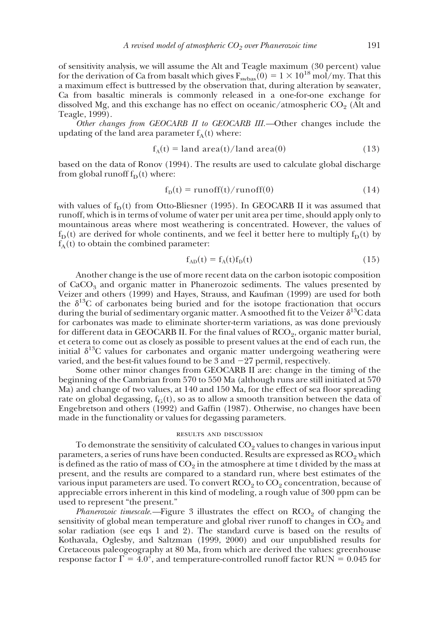of sensitivity analysis, we will assume the Alt and Teagle maximum (30 percent) value for the derivation of Ca from basalt which gives  $F_{\text{swbas}}(0) = 1 \times 10^{18} \text{ mol/my}$ . That this a maximum effect is buttressed by the observation that, during alteration by seawater, Ca from basaltic minerals is commonly released in a one-for-one exchange for dissolved Mg, and this exchange has no effect on oceanic/atmospheric  $CO<sub>2</sub>$  (Alt and Teagle, 1999).

*Other changes from GEOCARB II to GEOCARB III.—*Other changes include the updating of the land area parameter  $f_A(t)$  where:

$$
f_A(t) = \text{land area}(t) / \text{land area}(0) \tag{13}
$$

based on the data of Ronov (1994). The results are used to calculate global discharge from global runoff  $f_D(t)$  where:

$$
f_{D}(t) = runoff(t)/runoff(0)
$$
 (14)

with values of  $f_D(t)$  from Otto-Bliesner (1995). In GEOCARB II it was assumed that runoff, which is in terms of volume of water per unit area per time, should apply only to mountainous areas where most weathering is concentrated. However, the values of  $f_D(t)$  are derived for whole continents, and we feel it better here to multiply  $f_D(t)$  by  $f_A(t)$  to obtain the combined parameter:

$$
f_{AD}(t) = f_A(t)f_D(t)
$$
\n(15)

Another change is the use of more recent data on the carbon isotopic composition of  $CaCO<sub>3</sub>$  and organic matter in Phanerozoic sediments. The values presented by Veizer and others (1999) and Hayes, Strauss, and Kaufman (1999) are used for both the  $\delta^{13}$ C of carbonates being buried and for the isotope fractionation that occurs during the burial of sedimentary organic matter. A smoothed fit to the Veizer  $\delta^{13}C$  data for carbonates was made to eliminate shorter-term variations, as was done previously for different data in GEOCARB II. For the final values of RCO<sub>2</sub>, organic matter burial, et cetera to come out as closely as possible to present values at the end of each run, the initial  $\delta^{13}$ C values for carbonates and organic matter undergoing weathering were varied, and the best-fit values found to be  $3$  and  $-27$  permil, respectively.

Some other minor changes from GEOCARB II are: change in the timing of the beginning of the Cambrian from 570 to 550 Ma (although runs are still initiated at 570 Ma) and change of two values, at 140 and 150 Ma, for the effect of sea floor spreading rate on global degassing,  $f_G(t)$ , so as to allow a smooth transition between the data of Engebretson and others (1992) and Gaffin (1987). Otherwise, no changes have been made in the functionality or values for degassing parameters.

#### results and discussion

To demonstrate the sensitivity of calculated  $CO<sub>2</sub>$  values to changes in various input parameters, a series of runs have been conducted. Results are expressed as  $RCO<sub>2</sub>$  which is defined as the ratio of mass of  $CO<sub>2</sub>$  in the atmosphere at time t divided by the mass at present, and the results are compared to a standard run, where best estimates of the various input parameters are used. To convert  $\text{RCO}_2$  to  $\text{CO}_2$  concentration, because of appreciable errors inherent in this kind of modeling, a rough value of 300 ppm can be used to represent "the present."

*Phanerozoic timescale.*—Figure 3 illustrates the effect on RCO<sub>2</sub> of changing the sensitivity of global mean temperature and global river runoff to changes in  $CO<sub>2</sub>$  and solar radiation (see eqs 1 and 2). The standard curve is based on the results of Kothavala, Oglesby, and Saltzman (1999, 2000) and our unpublished results for Cretaceous paleogeography at 80 Ma, from which are derived the values: greenhouse response factor  $\Gamma = 4.0^{\circ}$ , and temperature-controlled runoff factor RUN = 0.045 for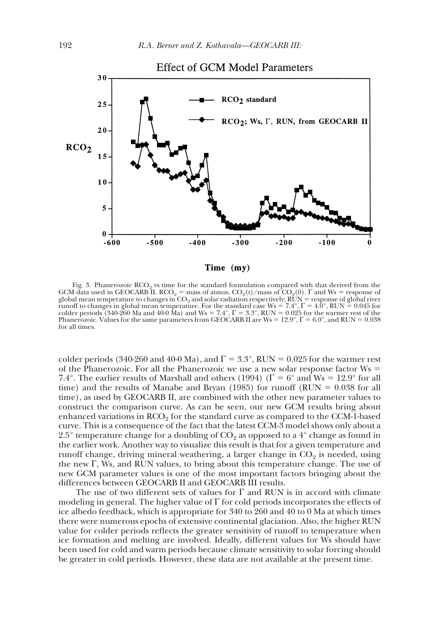

Fig. 3. Phanerozoic RCO<sub>2</sub> vs time for the standard formulation compared with that derived from the GCM data used in GEOCARB II. RCO<sub>2</sub> = mass of atmos. CO<sub>2</sub>(t)/mass of CO<sub>2</sub>(0). F and Ws = response of global mean temperature to changes in  $CO_2$  and solar radiation respectively;  $\overline{RUN}$  = response of global river runoff to changes in global mean temperature. For the standard case Ws = 7.4°,  $\Gamma = 4.0^{\circ}$ , RUN  $= 0.045$  for colder periods (340-260 Ma and 40-0 Ma) and Ws = 7.4°,  $\Gamma = 3.3^{\circ}$ , RUN = 0.025 for the warmer rest of the Phanerozoic. Values for the same parameters from GEOCARB II are Ws =  $12.9^{\circ}$ ,  $\Gamma = 6.0^{\circ}$ , and RUN = 0.038 for all times.

colder periods (340-260 and 40-0 Ma), and  $\Gamma = 3.3^{\circ}$ , RUN = 0.025 for the warmer rest of the Phanerozoic. For all the Phanerozoic we use a new solar response factor  $W_s =$ 7.4°. The earlier results of Marshall and others (1994) ( $\Gamma = 6^{\circ}$  and Ws = 12.9° for all time) and the results of Manabe and Bryan (1985) for runoff (RUN  $= 0.038$  for all time), as used by GEOCARB II, are combined with the other new parameter values to construct the comparison curve. As can be seen, our new GCM results bring about enhanced variations in  $RCO<sub>2</sub>$  for the standard curve as compared to the CCM-1-based curve. This is a consequence of the fact that the latest CCM-3 model shows only about a 2.5° temperature change for a doubling of  $CO_2$  as opposed to a 4° change as found in the earlier work. Another way to visualize this result is that for a given temperature and runoff change, driving mineral weathering, a larger change in  $CO<sub>2</sub>$  is needed, using the new  $\Gamma$ , Ws, and RUN values, to bring about this temperature change. The use of new GCM parameter values is one of the most important factors bringing about the differences between GEOCARB II and GEOCARB III results.

The use of two different sets of values for  $\Gamma$  and RUN is in accord with climate modeling in general. The higher value of  $\Gamma$  for cold periods incorporates the effects of ice albedo feedback, which is appropriate for 340 to 260 and 40 to 0 Ma at which times there were numerous epochs of extensive continental glaciation. Also, the higher RUN value for colder periods reflects the greater sensitivity of runoff to temperature when ice formation and melting are involved. Ideally, different values for Ws should have been used for cold and warm periods because climate sensitivity to solar forcing should be greater in cold periods. However, these data are not available at the present time.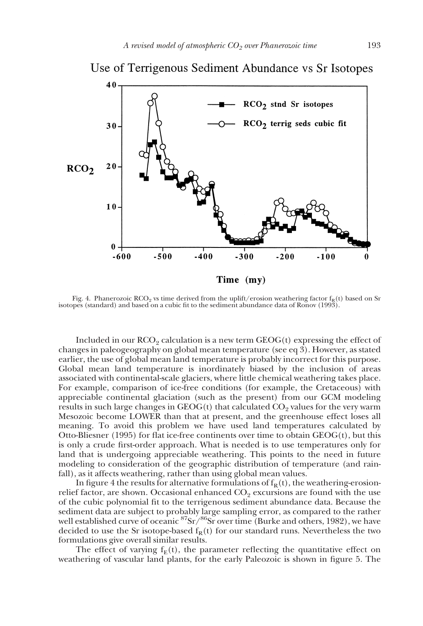

Use of Terrigenous Sediment Abundance vs Sr Isotopes

Fig. 4. Phanerozoic RCO<sub>2</sub> vs time derived from the uplift/erosion weathering factor  $f_R(t)$  based on Sr isotopes (standard) and based on a cubic fit to the sediment abundance data of Ronov (1993).

Included in our  $RCO<sub>2</sub>$  calculation is a new term  $GEOG(t)$  expressing the effect of changes in paleogeography on global mean temperature (see eq 3). However, as stated earlier, the use of global mean land temperature is probably incorrect for this purpose. Global mean land temperature is inordinately biased by the inclusion of areas associated with continental-scale glaciers, where little chemical weathering takes place. For example, comparison of ice-free conditions (for example, the Cretaceous) with appreciable continental glaciation (such as the present) from our GCM modeling results in such large changes in  $GEOG(t)$  that calculated  $CO<sub>9</sub>$  values for the very warm Mesozoic become LOWER than that at present, and the greenhouse effect loses all meaning. To avoid this problem we have used land temperatures calculated by Otto-Bliesner (1995) for flat ice-free continents over time to obtain  $GEOG(t)$ , but this is only a crude first-order approach. What is needed is to use temperatures only for land that is undergoing appreciable weathering. This points to the need in future modeling to consideration of the geographic distribution of temperature (and rainfall), as it affects weathering, rather than using global mean values.

In figure 4 the results for alternative formulations of  $f_R(t)$ , the weathering-erosionrelief factor, are shown. Occasional enhanced  $CO<sub>2</sub>$  excursions are found with the use of the cubic polynomial fit to the terrigenous sediment abundance data. Because the sediment data are subject to probably large sampling error, as compared to the rather well established curve of oceanic  ${}^{87}\text{Sr}/{}^{86}\text{Sr}$  over time (Burke and others, 1982), we have decided to use the Sr isotope-based  $f_R(t)$  for our standard runs. Nevertheless the two formulations give overall similar results.

The effect of varying  $f_E(t)$ , the parameter reflecting the quantitative effect on weathering of vascular land plants, for the early Paleozoic is shown in figure 5. The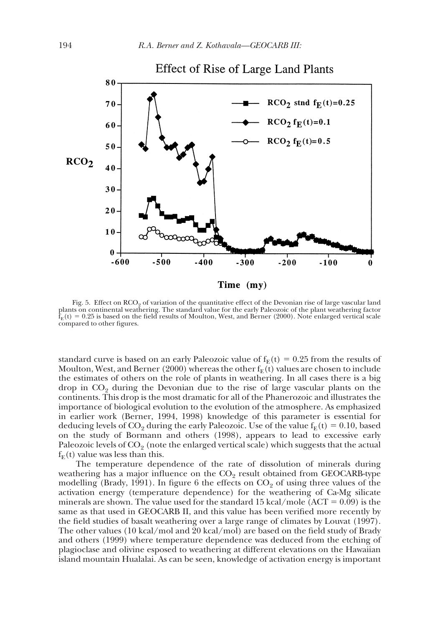

Fig. 5. Effect on RCO<sub>2</sub> of variation of the quantitative effect of the Devonian rise of large vascular land plants on continental weathering. The standard value for the early Paleozoic of the plant weathering factor  $\hat{f}_{E}(t) = 0.25$  is based on the field results of Moulton, West, and Berner (2000). Note enlarged vertical scale compared to other figures.

standard curve is based on an early Paleozoic value of  $f_E(t) = 0.25$  from the results of Moulton, West, and Berner (2000) whereas the other  $f_E(t)$  values are chosen to include the estimates of others on the role of plants in weathering. In all cases there is a big drop in  $CO<sub>2</sub>$  during the Devonian due to the rise of large vascular plants on the continents. This drop is the most dramatic for all of the Phanerozoic and illustrates the importance of biological evolution to the evolution of the atmosphere. As emphasized in earlier work (Berner, 1994, 1998) knowledge of this parameter is essential for deducing levels of CO<sub>2</sub> during the early Paleozoic. Use of the value  $f_E(t) = 0.10$ , based on the study of Bormann and others (1998), appears to lead to excessive early Paleozoic levels of  $CO<sub>2</sub>$  (note the enlarged vertical scale) which suggests that the actual  $f_E(t)$  value was less than this.

The temperature dependence of the rate of dissolution of minerals during weathering has a major influence on the  $CO<sub>2</sub>$  result obtained from GEOCARB-type modelling (Brady, 1991). In figure 6 the effects on  $CO<sub>2</sub>$  of using three values of the activation energy (temperature dependence) for the weathering of Ca-Mg silicate minerals are shown. The value used for the standard 15 kcal/mole ( $ACT = 0.09$ ) is the same as that used in GEOCARB II, and this value has been verified more recently by the field studies of basalt weathering over a large range of climates by Louvat (1997). The other values (10 kcal/mol and 20 kcal/mol) are based on the field study of Brady and others (1999) where temperature dependence was deduced from the etching of plagioclase and olivine esposed to weathering at different elevations on the Hawaiian island mountain Hualalai. As can be seen, knowledge of activation energy is important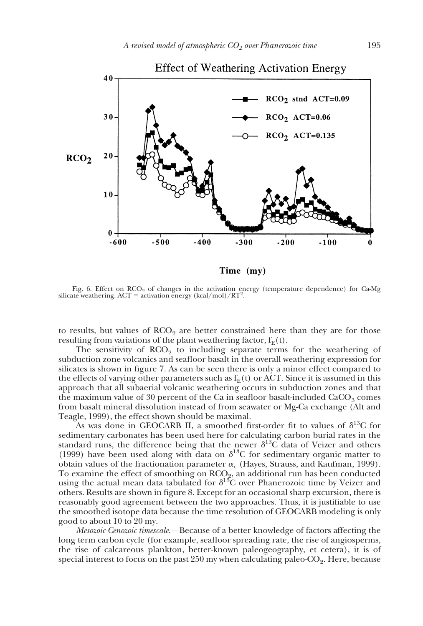

Fig. 6. Effect on  $RCO<sub>2</sub>$  of changes in the activation energy (temperature dependence) for Ca-Mg silicate weathering.  $ACT =$  activation energy (kcal/mol)/ $RT^2$ .

to results, but values of  $RCO<sub>2</sub>$  are better constrained here than they are for those resulting from variations of the plant weathering factor,  $f_E(t)$ .

The sensitivity of  $RCO<sub>2</sub>$  to including separate terms for the weathering of subduction zone volcanics and seafloor basalt in the overall weathering expression for silicates is shown in figure 7. As can be seen there is only a minor effect compared to the effects of varying other parameters such as  $f_E(t)$  or ACT. Since it is assumed in this approach that all subaerial volcanic weathering occurs in subduction zones and that the maximum value of 30 percent of the Ca in seafloor basalt-included  $CaCO<sub>3</sub>$  comes from basalt mineral dissolution instead of from seawater or Mg-Ca exchange (Alt and Teagle, 1999), the effect shown should be maximal.

As was done in GEOCARB II, a smoothed first-order fit to values of  $\delta^{13}C$  for sedimentary carbonates has been used here for calculating carbon burial rates in the standard runs, the difference being that the newer  $\delta^{13}$ C data of Veizer and others (1999) have been used along with data on  $\delta^{13}$ C for sedimentary organic matter to obtain values of the fractionation parameter  $\alpha_c$  (Hayes, Strauss, and Kaufman, 1999). To examine the effect of smoothing on  $RCO<sub>2</sub>$ , an additional run has been conducted using the actual mean data tabulated for  $\delta^{13}$ C over Phanerozoic time by Veizer and others. Results are shown in figure 8. Except for an occasional sharp excursion, there is reasonably good agreement between the two approaches. Thus, it is justifiable to use the smoothed isotope data because the time resolution of GEOCARB modeling is only good to about 10 to 20 my.

*Mesozoic-Cenozoic timescale.—*Because of a better knowledge of factors affecting the long term carbon cycle (for example, seafloor spreading rate, the rise of angiosperms, the rise of calcareous plankton, better-known paleogeography, et cetera), it is of special interest to focus on the past  $250$  my when calculating paleo- $CO<sub>2</sub>$ . Here, because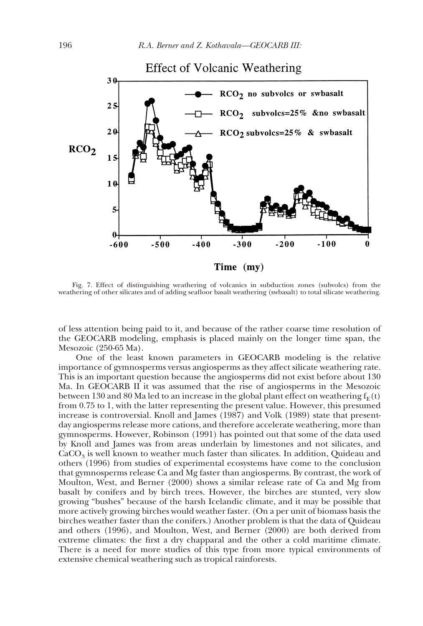

Fig. 7. Effect of distinguishing weathering of volcanics in subduction zones (subvolcs) from the weathering of other silicates and of adding seafloor basalt weathering (swbasalt) to total silicate weathering.

of less attention being paid to it, and because of the rather coarse time resolution of the GEOCARB modeling, emphasis is placed mainly on the longer time span, the Mesozoic (250-65 Ma).

One of the least known parameters in GEOCARB modeling is the relative importance of gymnosperms versus angiosperms as they affect silicate weathering rate. This is an important question because the angiosperms did not exist before about 130 Ma. In GEOCARB II it was assumed that the rise of angiosperms in the Mesozoic between 130 and 80 Ma led to an increase in the global plant effect on weathering  $f_E(t)$ from 0.75 to 1, with the latter representing the present value. However, this presumed increase is controversial. Knoll and James (1987) and Volk (1989) state that presentday angiosperms release more cations, and therefore accelerate weathering, more than gymnosperms. However, Robinson (1991) has pointed out that some of the data used by Knoll and James was from areas underlain by limestones and not silicates, and  $CaCO<sub>3</sub>$  is well known to weather much faster than silicates. In addition, Quideau and others (1996) from studies of experimental ecosystems have come to the conclusion that gymnosperms release Ca and Mg faster than angiosperms. By contrast, the work of Moulton, West, and Berner (2000) shows a similar release rate of Ca and Mg from basalt by conifers and by birch trees. However, the birches are stunted, very slow growing "bushes" because of the harsh Icelandic climate, and it may be possible that more actively growing birches would weather faster. (On a per unit of biomass basis the birches weather faster than the conifers.) Another problem is that the data of Quideau and others (1996), and Moulton, West, and Berner (2000) are both derived from extreme climates: the first a dry chapparal and the other a cold maritime climate. There is a need for more studies of this type from more typical environments of extensive chemical weathering such as tropical rainforests.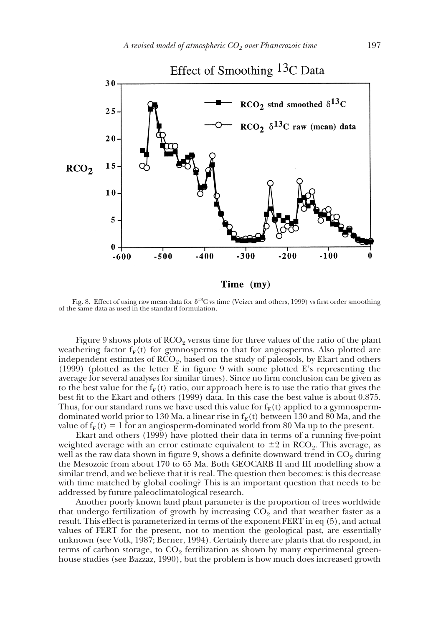

Fig. 8. Effect of using raw mean data for  $\delta^{13}C$  vs time (Veizer and others, 1999) vs first order smoothing of the same data as used in the standard formulation.

Figure 9 shows plots of  $RCO<sub>2</sub>$  versus time for three values of the ratio of the plant weathering factor  $f_E(t)$  for gymnosperms to that for angiosperms. Also plotted are independent estimates of  $RCO<sub>9</sub>$ , based on the study of paleosols, by Ekart and others (1999) (plotted as the letter E in figure 9 with some plotted E's representing the average for several analyses for similar times). Since no firm conclusion can be given as to the best value for the  $f_E(t)$  ratio, our approach here is to use the ratio that gives the best fit to the Ekart and others (1999) data. In this case the best value is about 0.875. Thus, for our standard runs we have used this value for  $f_E(t)$  applied to a gymnospermdominated world prior to 130 Ma, a linear rise in  $f_E(t)$  between 130 and 80 Ma, and the value of  $f_E(t) = 1$  for an angiosperm-dominated world from 80 Ma up to the present.

Ekart and others (1999) have plotted their data in terms of a running five-point weighted average with an error estimate equivalent to  $\pm 2$  in RCO<sub>2</sub>. This average, as well as the raw data shown in figure 9, shows a definite downward trend in  $CO<sub>2</sub>$  during the Mesozoic from about 170 to 65 Ma. Both GEOCARB II and III modelling show a similar trend, and we believe that it is real. The question then becomes: is this decrease with time matched by global cooling? This is an important question that needs to be addressed by future paleoclimatological research.

Another poorly known land plant parameter is the proportion of trees worldwide that undergo fertilization of growth by increasing  $CO<sub>2</sub>$  and that weather faster as a result. This effect is parameterized in terms of the exponent FERT in eq (5), and actual values of FERT for the present, not to mention the geological past, are essentially unknown (see Volk, 1987; Berner, 1994). Certainly there are plants that do respond, in terms of carbon storage, to  $CO<sub>2</sub>$  fertilization as shown by many experimental greenhouse studies (see Bazzaz, 1990), but the problem is how much does increased growth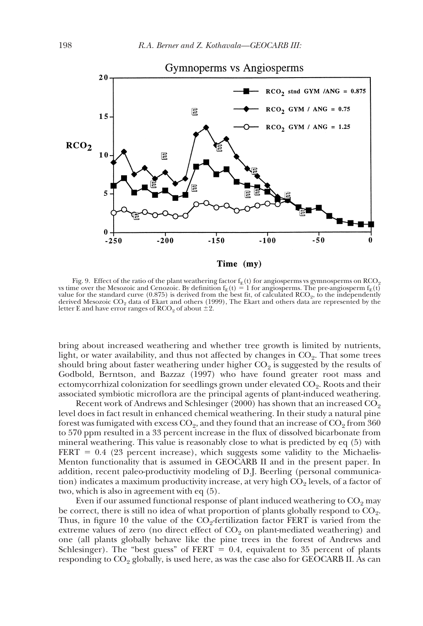

Fig. 9. Effect of the ratio of the plant weathering factor  $f_E(t)$  for angiosperms vs gymnosperms on RCO<sub>2</sub> vs time over the Mesozoic and Cenozoic. By definition  $f_E(t) = 1$  for angiosperms. The pre-angiosperm  $f_E(t)$ value for the standard curve  $(0.875)$  is derived from the best fit, of calculated  $RCO<sub>2</sub>$ , to the independently derived Mesozoic  $CO<sub>2</sub>$  data of Ekart and others (1999), The Ekart and others data are represented by the letter E and have error ranges of  $RCO<sub>2</sub>$  of about  $\pm 2$ .

bring about increased weathering and whether tree growth is limited by nutrients, light, or water availability, and thus not affected by changes in  $CO<sub>2</sub>$ . That some trees should bring about faster weathering under higher  $CO<sub>2</sub>$  is suggested by the results of Godbold, Berntson, and Bazzaz (1997) who have found greater root mass and ectomycorrhizal colonization for seedlings grown under elevated CO<sub>2</sub>. Roots and their associated symbiotic microflora are the principal agents of plant-induced weathering.

Recent work of Andrews and Schlesinger (2000) has shown that an increased  $CO<sub>2</sub>$ level does in fact result in enhanced chemical weathering. In their study a natural pine forest was fumigated with excess  $CO<sub>2</sub>$ , and they found that an increase of  $CO<sub>2</sub>$  from 360 to 570 ppm resulted in a 33 percent increase in the flux of dissolved bicarbonate from mineral weathering. This value is reasonably close to what is predicted by eq (5) with FERT =  $0.4$  (23 percent increase), which suggests some validity to the Michaelis-Menton functionality that is assumed in GEOCARB II and in the present paper. In addition, recent paleo-productivity modeling of D.J. Beerling (personal communication) indicates a maximum productivity increase, at very high  $CO<sub>2</sub>$  levels, of a factor of two, which is also in agreement with eq (5).

Even if our assumed functional response of plant induced weathering to  $\mathrm{CO}_2$  may be correct, there is still no idea of what proportion of plants globally respond to  $CO<sub>2</sub>$ . Thus, in figure 10 the value of the  $CO<sub>2</sub>$ -fertilization factor FERT is varied from the extreme values of zero (no direct effect of  $CO<sub>2</sub>$  on plant-mediated weathering) and one (all plants globally behave like the pine trees in the forest of Andrews and Schlesinger). The "best guess" of FERT  $= 0.4$ , equivalent to 35 percent of plants responding to  $CO<sub>2</sub>$  globally, is used here, as was the case also for GEOCARB II. As can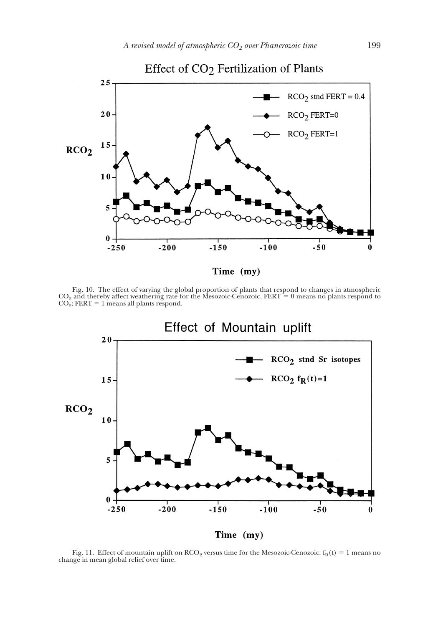

Fig. 10. The effect of varying the global proportion of plants that respond to changes in atmospheric  $CO_2$  and thereby affect weathering rate for the Mesozoic-Cenozoic. FERT = 0 means no plants respond to  $CO<sub>2</sub>$ ; FERT = 1 means all plants respond.



Fig. 11. Effect of mountain uplift on  $RCO_2$  versus time for the Mesozoic-Cenozoic.  $f_R(t) = 1$  means no change in mean global relief over time.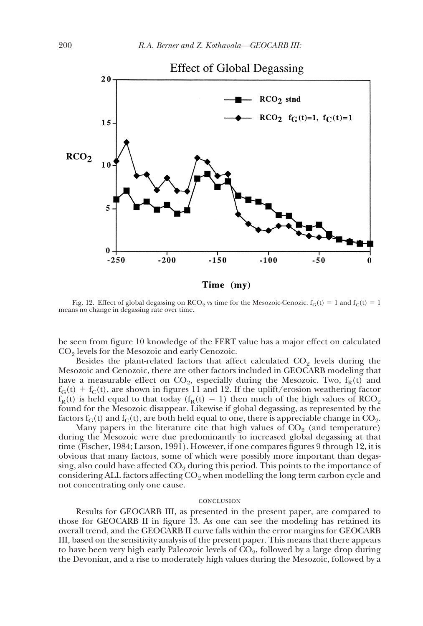

Fig. 12. Effect of global degassing on RCO<sub>2</sub> vs time for the Mesozoic-Cenozic.  $f_G(t) = 1$  and  $f_C(t) = 1$ means no change in degassing rate over time.

be seen from figure 10 knowledge of the FERT value has a major effect on calculated  $CO<sub>2</sub>$  levels for the Mesozoic and early Cenozoic.

Besides the plant-related factors that affect calculated  $CO<sub>2</sub>$  levels during the Mesozoic and Cenozoic, there are other factors included in GEOCARB modeling that have a measurable effect on  $CO<sub>2</sub>$ , especially during the Mesozoic. Two,  $f_R(t)$  and  $f_G(t) + f_C(t)$ , are shown in figures 11 and 12. If the uplift/erosion weathering factor  $f_R(t)$  is held equal to that today ( $f_R(t) = 1$ ) then much of the high values of RCO<sub>2</sub> found for the Mesozoic disappear. Likewise if global degassing, as represented by the factors  $f_G(t)$  and  $f_C(t)$ , are both held equal to one, there is appreciable change in  $CO_2$ .

Many papers in the literature cite that high values of  $CO<sub>2</sub>$  (and temperature) during the Mesozoic were due predominantly to increased global degassing at that time (Fischer, 1984; Larson, 1991). However, if one compares figures 9 through 12, it is obvious that many factors, some of which were possibly more important than degassing, also could have affected  $CO<sub>2</sub>$  during this period. This points to the importance of considering ALL factors affecting  $CO<sub>2</sub>$  when modelling the long term carbon cycle and not concentrating only one cause.

### conclusion

Results for GEOCARB III, as presented in the present paper, are compared to those for GEOCARB II in figure 13. As one can see the modeling has retained its overall trend, and the GEOCARB II curve falls within the error margins for GEOCARB III, based on the sensitivity analysis of the present paper. This means that there appears to have been very high early Paleozoic levels of  $CO<sub>2</sub>$ , followed by a large drop during the Devonian, and a rise to moderately high values during the Mesozoic, followed by a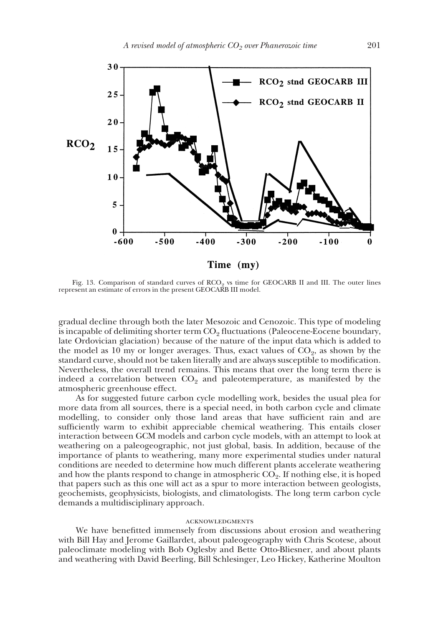

Fig. 13. Comparison of standard curves of  $RCO<sub>9</sub>$  vs time for GEOCARB II and III. The outer lines represent an estimate of errors in the present GEOCARB III model.

gradual decline through both the later Mesozoic and Cenozoic. This type of modeling is incapable of delimiting shorter term  $CO<sub>2</sub>$  fluctuations (Paleocene-Eocene boundary, late Ordovician glaciation) because of the nature of the input data which is added to the model as 10 my or longer averages. Thus, exact values of  $CO<sub>2</sub>$ , as shown by the standard curve, should not be taken literally and are always susceptible to modification. Nevertheless, the overall trend remains. This means that over the long term there is indeed a correlation between  $CO<sub>2</sub>$  and paleotemperature, as manifested by the atmospheric greenhouse effect.

As for suggested future carbon cycle modelling work, besides the usual plea for more data from all sources, there is a special need, in both carbon cycle and climate modelling, to consider only those land areas that have sufficient rain and are sufficiently warm to exhibit appreciable chemical weathering. This entails closer interaction between GCM models and carbon cycle models, with an attempt to look at weathering on a paleogeographic, not just global, basis. In addition, because of the importance of plants to weathering, many more experimental studies under natural conditions are needed to determine how much different plants accelerate weathering and how the plants respond to change in atmospheric  $CO<sub>2</sub>$ . If nothing else, it is hoped that papers such as this one will act as a spur to more interaction between geologists, geochemists, geophysicists, biologists, and climatologists. The long term carbon cycle demands a multidisciplinary approach.

### acknowledgments

We have benefitted immensely from discussions about erosion and weathering with Bill Hay and Jerome Gaillardet, about paleogeography with Chris Scotese, about paleoclimate modeling with Bob Oglesby and Bette Otto-Bliesner, and about plants and weathering with David Beerling, Bill Schlesinger, Leo Hickey, Katherine Moulton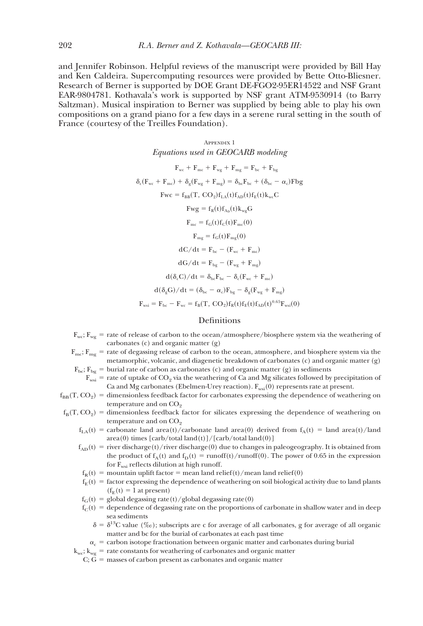and Jennifer Robinson. Helpful reviews of the manuscript were provided by Bill Hay and Ken Caldeira. Supercomputing resources were provided by Bette Otto-Bliesner. Research of Berner is supported by DOE Grant DE-FGO2-95ER14522 and NSF Grant EAR-9804781. Kothavala's work is supported by NSF grant ATM-9530914 (to Barry Saltzman). Musical inspiration to Berner was supplied by being able to play his own compositions on a grand piano for a few days in a serene rural setting in the south of France (courtesy of the Treilles Foundation).

Appendix 1

Equations used in GEOCARB modeling  
\n
$$
F_{wc} + F_{mc} + F_{wg} + F_{mg} = F_{bc} + F_{bg}
$$
\n
$$
\delta_c(F_{wc} + F_{mc}) + \delta_g(F_{wg} + F_{mg}) = \delta_{bc}F_{bc} + (\delta_{bc} - \alpha_c)Fbg
$$
\n
$$
Fwc = f_{BB}(T, CO_2)f_{LA}(t)f_{AD}(t)f_E(t)k_{wc}C
$$
\n
$$
Fwg = f_R(t)f_{A_D}(t)k_{wg}G
$$
\n
$$
F_{mc} = f_G(t)f_C(t)F_{mc}(0)
$$
\n
$$
F_{mg} = f_G(t)F_{mg}(0)
$$
\n
$$
dC/dt = F_{bc} - (F_{wc} + F_{mc})
$$
\n
$$
dG/dt = F_{bg} - (F_{wg} + F_{mg})
$$
\n
$$
d(\delta_g G)/dt = (\delta_{bc} - \alpha_c)F_{bg} - \delta_g(F_{wg} + F_{mg})
$$
\n
$$
F_{wsi} = F_{bc} - F_{wc} = f_B(T, CO_2)f_R(t)f_E(t)f_{AD}(t)^{0.65}F_{wsi}(0)
$$

### Definitions

 $F_{wc}$ ;  $F_{wg}$  = rate of release of carbon to the ocean/atmosphere/biosphere system via the weathering of carbonates (c) and organic matter (g)

- $F_{\text{mc}}$ ;  $F_{\text{mg}}$  = rate of degassing release of carbon to the ocean, atmosphere, and biosphere system via the metamorphic, volcanic, and diagenetic breakdown of carbonates (c) and organic matter (g)  $F_{bc}$ ;  $F_{bg}$  = burial rate of carbon as carbonates (c) and organic matter (g) in sediments
- $F_{\text{wsi}}$  = rate of uptake of CO<sub>2</sub> via the weathering of Ca and Mg silicates followed by precipitation of Ca and Mg carbonates (Ebelmen-Urey reaction).  $F_{ws}(0)$  represents rate at present.
- $f_{\text{BB}}(T, CO_2)$  = dimensionless feedback factor for carbonates expressing the dependence of weathering on temperature and on  $CO<sub>2</sub>$
- $f_B(T, CO_2)$  = dimensionless feedback factor for silicates expressing the dependence of weathering on temperature and on  $CO<sub>2</sub>$ 
	- $f_{LA}(t)$  = carbonate land area(t)/carbonate land area(0) derived from  $f_A(t)$  = land area(t)/land  $area(0)$  times  $[carb/total land(t)]/[carb/total land(0)]$
	- $f_{AD}(t)$  = river discharge(t)/river discharge(0) due to changes in paleogeography. It is obtained from the product of  $f_A(t)$  and  $f_D(t) = \text{runoff}(t)/\text{runoff}(0)$ . The power of 0.65 in the expression for  $F_{wsi}$  reflects dilution at high runoff.
	- $f_R(t)$  = mountain uplift factor = mean land relief(t)/mean land relief(0)
	- $f_E(t)$  = factor expressing the dependence of weathering on soil biological activity due to land plants  $(f<sub>E</sub>(t) = 1$  at present)
	- $f<sub>G</sub>(t) =$  global degassing rate(t)/global degassing rate(0)
	- $f_C(t) =$  dependence of degassing rate on the proportions of carbonate in shallow water and in deep sea sediments
		- $\delta = \delta^{13}C$  value (‰); subscripts are c for average of all carbonates, g for average of all organic matter and bc for the burial of carbonates at each past time
		- $\alpha_c$  = carbon isotope fractionation between organic matter and carbonates during burial
	- $k_{wc}$ ;  $k_{wg}$  = rate constants for weathering of carbonates and organic matter
		- $C$ ;  $\tilde{G}$  = masses of carbon present as carbonates and organic matter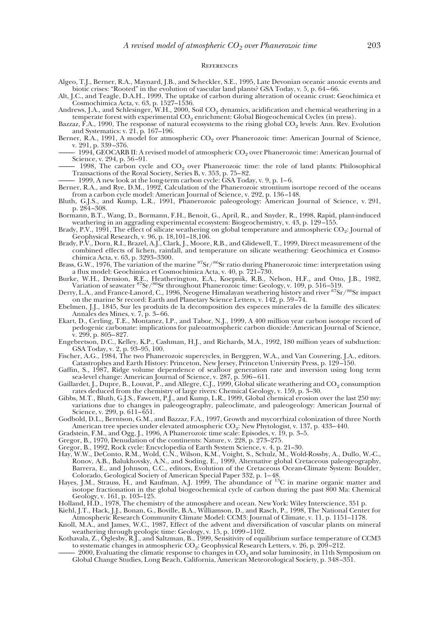#### **REFERENCES**

- Algeo, T.J., Berner, R.A., Maynard, J.B., and Scheckler, S.E., 1995, Late Devonian oceanic anoxic events and biotic crises: "Rooted" in the evolution of vascular land plants? GSA Today, v. 5, p. 64–66.
- Alt, J.C., and Teagle, D.A.H., 1999, The uptake of carbon during alteration of oceanic crust: Geochimica et Cosmochimica Acta, v. 63, p. 1527–1536.
- Andrews, J.A., and Schlesinger, W.H., 2000, Soil  $CO<sub>2</sub>$  dynamics, acidification and chemical weathering in a temperate forest with experimental CO<sub>2</sub> enrichment: Global Biogeochemical Cycles (in press).
- Bazzaz, F.A., 1990, The response of natural ecosystems to the rising global CO<sub>2</sub> levels: Ann. Rev. Evolution and Systematics: v. 21, p. 167–196.
- Berner, R.A., 1991, A model for atmospheric  $CO<sub>2</sub>$  over Phanerozoic time: American Journal of Science, v. 291, p. 339–376.
- 1994, GEOCARB II: A revised model of atmospheric  $CO<sub>2</sub>$  over Phanerozoic time: American Journal of Science, v. 294, p. 56–91.
- $-1998$ , The carbon cycle and  $CO<sub>2</sub>$  over Phanerozoic time: the role of land plants: Philosophical Transactions of the Royal Society, Series B, v. 353, p. 75–82.
- –––––– 1999, A new look at the long-term carbon cycle: GSA Today, v. 9, p. 1–6.
- Berner, R.A., and Rye, D.M., 1992, Calculation of the Phanerozoic strontium isortope record of the oceans from a carbon cycle model: American Journal of Science, v. 292, p. 136–148.
- Bluth, G.J.S., and Kump, L.R., 1991, Phanerozoic paleogeology: American Journal of Science, v. 291, p. 284–308.
- Bormann, B.T., Wang, D., Bormann, F.H., Benoit, G., April, R., and Snyder, R., 1998, Rapid, plant-induced weathering in an aggrading experimental ecosystem: Biogeochemistry, v. 43, p. 129–155.
- Brady, P.V., 1991, The effect of silicate weathering on global temperature and atmospheric CO<sub>2</sub>: Journal of Geophysical Research, v. 96, p. 18,101–18,106.
- Brady, P.V., Dorn, R.I., Brazel, A.J., Clark, J., Moore, R.B., and Glidewell, T., 1999, Direct measurement of the combined effects of lichen, rainfall, and temperature on silicate weathering: Geochimica et Cosmochimica Acta, v. 63, p. 3293–3300.
- Brass, G.W., 1976, The variation of the marine  ${}^{87}\text{Sr}/{}^{86}\text{Sr}$  ratio during Phanerozoic time: interpretation using a flux model: Geochimica et Cosmochimica Acta, v. 40, p. 721–730.
- Burke, W.H., Dension, R.E., Heatherington, E.A., Koepnik, R.B., Nelson, H.F., and Otto, J.B., 1982, Variation of seawater  ${}^{87}Sr/{}^{86}Sr$  throughout Phanerozoic time: Geology, v. 109, p. 516–519.
- Derry, L.A., and France-Lanord, C., 1996, Neogene Himalayan weathering history and river 87Sr/86Sr impact on the marine Sr record: Earth and Planetary Science Letters, v. 142, p. 59–74.
- Ebelmen, J.J., 1845, Sur les produits de la decomposition des especes minerales de la famille des silicates: Annales des Mines, v. 7, p. 3–66.
- Ekart, D., Cerling, T.E., Montanez, I.P., and Tabor, N.J., 1999, A 400 million year carbon isotope record of pedogenic carbonate: implications for paleoatmospheric carbon dioxide: American Journal of Science, v. 299, p. 805–827.
- Engebretson, D.C., Kelley, K.P., Cashman, H.J., and Richards, M.A., 1992, 180 million years of subduction: GSA Today, v. 2, p. 93–95, 100.
- Fischer, A.G., 1984, The two Phanerozoic supercycles, in Berggren, W.A., and Van Couvering, J.A., editors. Catastrophes and Earth History: Princeton, New Jersey, Princeton University Press, p. 129–150.
- Gaffin, S., 1987, Ridge volume dependence of seafloor generation rate and inversion using long term sea-level change: American Journal of Science, v. 287, p. 596–611.
- Gaillardet, J., Dupre, B., Louvat, P., and Allegre, C.J., 1999, Global silicate weathering and  $CO_2$  consumption rates deduced from the chemistry of large rivers: Chemical Geology, v. 159, p. 3–30.
- Gibbs, M.T., Bluth, G.J.S., Fawcett, P.J., and Kump, L.R., 1999, Global chemical erosion over the last 250 my: variations due to changes in paleogeography, paleoclimate, and paleogeology: American Journal of Science, v. 299, p. 611–651.
- Godbold, D.L., Berntson, G.M., and Bazzaz, F.A., 1997, Growth and mycorrhizal colonization of three North American tree species under elevated atmospheric CO<sub>2</sub>: New Phytologist, v. 137, p. 433–440.
- Gradstein, F.M., and Ogg, J., 1996, A Phanerozoic time scale: Episodes, v. 19, p. 3–5.
- Gregor, B., 1970, Denudation of the continents: Nature, v. 228, p. 273–275.
- Gregor, B., 1992, Rock cycle: Encyclopedia of Earth System Science, v. 4, p. 21–30.
- Hay, W.W., DeConto, R.M., Wold, C.N., Wilson, K.M., Voight, S., Schulz, M., Wold-Rossby, A., Dullo, W.-C., Ronov, A.B., Balukhovsky, A.N., and Soding, E., 1999, Alternative global Cretaceous paleogeography, Barrera, E., and Johnson, C.C., editors, Evolution of the Cretaceous Ocean-Climate System: Boulder,
- Colorado, Geological Society of American Special Paper 332, p. 1–48.<br>Hayes, J.M., Strauss, H., and Kaufman, A.J. 1999, The abundance of <sup>13</sup>C in marine organic matter and isotope fractionation in the global biogeochemical cycle of carbon during the past 800 Ma: Chemical Geology, v. 161, p. 103–125.
- Holland, H.D., 1978, The chemistry of the atmosphere and ocean. New York: Wiley Interscience, 351 p.
- Kiehl, J.T., Hack, J.J., Bonan, G., Boville, B.A., Williamson, D., and Rasch, P., 1998, The National Center for Atmospheric Research Community Climate Model: CCM3: Journal of Climate, v. 11, p. 1151–1178.
- Knoll, M.A., and James, W.C., 1987, Effect of the advent and diversification of vascular plants on mineral weathering through geologic time: Geology, v. 15, p. 1099–1102.
- Kothavala, Z., Oglesby, R.J., and Saltzman, B., 1999, Sensitivity of equilibrium surface temperature of CCM3 to systematic changes in atmospheric  $CO<sub>2</sub>$ : Geophysical Research Letters, v. 26, p. 209–212.
	- 2000, Evaluating the climatic response to changes in  $\mathrm{CO}_2$  and solar luminosity, in 11th Symposium on Global Change Studies, Long Beach, California, American Meteorological Society, p. 348–351.